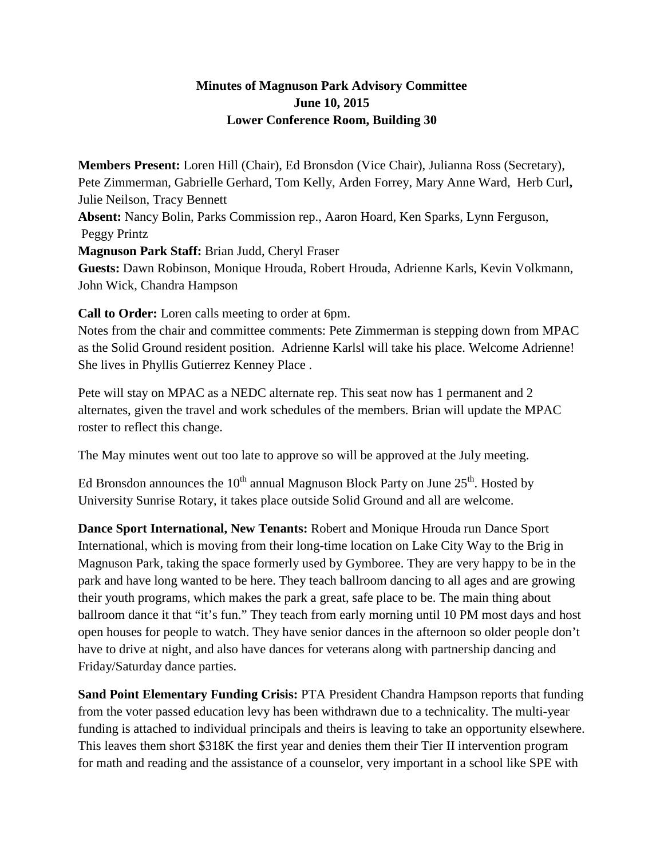## **Minutes of Magnuson Park Advisory Committee June 10, 2015 Lower Conference Room, Building 30**

**Members Present:** Loren Hill (Chair), Ed Bronsdon (Vice Chair), Julianna Ross (Secretary), Pete Zimmerman, Gabrielle Gerhard, Tom Kelly, Arden Forrey, Mary Anne Ward, Herb Curl**,**  Julie Neilson, Tracy Bennett **Absent:** Nancy Bolin, Parks Commission rep., Aaron Hoard, Ken Sparks, Lynn Ferguson, Peggy Printz **Magnuson Park Staff:** Brian Judd, Cheryl Fraser **Guests:** Dawn Robinson, Monique Hrouda, Robert Hrouda, Adrienne Karls, Kevin Volkmann, John Wick, Chandra Hampson

**Call to Order:** Loren calls meeting to order at 6pm.

Notes from the chair and committee comments: Pete Zimmerman is stepping down from MPAC as the Solid Ground resident position. Adrienne Karlsl will take his place. Welcome Adrienne! She lives in Phyllis Gutierrez Kenney Place .

Pete will stay on MPAC as a NEDC alternate rep. This seat now has 1 permanent and 2 alternates, given the travel and work schedules of the members. Brian will update the MPAC roster to reflect this change.

The May minutes went out too late to approve so will be approved at the July meeting.

Ed Bronsdon announces the 10<sup>th</sup> annual Magnuson Block Party on June  $25<sup>th</sup>$ . Hosted by University Sunrise Rotary, it takes place outside Solid Ground and all are welcome.

**Dance Sport International, New Tenants:** Robert and Monique Hrouda run Dance Sport International, which is moving from their long-time location on Lake City Way to the Brig in Magnuson Park, taking the space formerly used by Gymboree. They are very happy to be in the park and have long wanted to be here. They teach ballroom dancing to all ages and are growing their youth programs, which makes the park a great, safe place to be. The main thing about ballroom dance it that "it's fun." They teach from early morning until 10 PM most days and host open houses for people to watch. They have senior dances in the afternoon so older people don't have to drive at night, and also have dances for veterans along with partnership dancing and Friday/Saturday dance parties.

**Sand Point Elementary Funding Crisis:** PTA President Chandra Hampson reports that funding from the voter passed education levy has been withdrawn due to a technicality. The multi-year funding is attached to individual principals and theirs is leaving to take an opportunity elsewhere. This leaves them short \$318K the first year and denies them their Tier II intervention program for math and reading and the assistance of a counselor, very important in a school like SPE with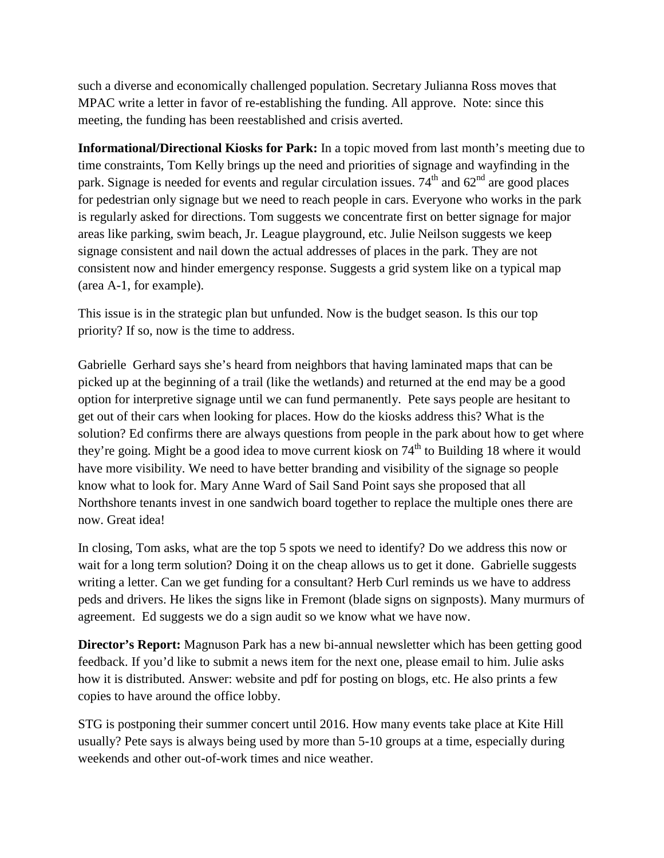such a diverse and economically challenged population. Secretary Julianna Ross moves that MPAC write a letter in favor of re-establishing the funding. All approve. Note: since this meeting, the funding has been reestablished and crisis averted.

**Informational/Directional Kiosks for Park:** In a topic moved from last month's meeting due to time constraints, Tom Kelly brings up the need and priorities of signage and wayfinding in the park. Signage is needed for events and regular circulation issues.  $74<sup>th</sup>$  and  $62<sup>nd</sup>$  are good places for pedestrian only signage but we need to reach people in cars. Everyone who works in the park is regularly asked for directions. Tom suggests we concentrate first on better signage for major areas like parking, swim beach, Jr. League playground, etc. Julie Neilson suggests we keep signage consistent and nail down the actual addresses of places in the park. They are not consistent now and hinder emergency response. Suggests a grid system like on a typical map (area A-1, for example).

This issue is in the strategic plan but unfunded. Now is the budget season. Is this our top priority? If so, now is the time to address.

Gabrielle Gerhard says she's heard from neighbors that having laminated maps that can be picked up at the beginning of a trail (like the wetlands) and returned at the end may be a good option for interpretive signage until we can fund permanently. Pete says people are hesitant to get out of their cars when looking for places. How do the kiosks address this? What is the solution? Ed confirms there are always questions from people in the park about how to get where they're going. Might be a good idea to move current kiosk on  $74<sup>th</sup>$  to Building 18 where it would have more visibility. We need to have better branding and visibility of the signage so people know what to look for. Mary Anne Ward of Sail Sand Point says she proposed that all Northshore tenants invest in one sandwich board together to replace the multiple ones there are now. Great idea!

In closing, Tom asks, what are the top 5 spots we need to identify? Do we address this now or wait for a long term solution? Doing it on the cheap allows us to get it done. Gabrielle suggests writing a letter. Can we get funding for a consultant? Herb Curl reminds us we have to address peds and drivers. He likes the signs like in Fremont (blade signs on signposts). Many murmurs of agreement. Ed suggests we do a sign audit so we know what we have now.

**Director's Report:** Magnuson Park has a new bi-annual newsletter which has been getting good feedback. If you'd like to submit a news item for the next one, please email to him. Julie asks how it is distributed. Answer: website and pdf for posting on blogs, etc. He also prints a few copies to have around the office lobby.

STG is postponing their summer concert until 2016. How many events take place at Kite Hill usually? Pete says is always being used by more than 5-10 groups at a time, especially during weekends and other out-of-work times and nice weather.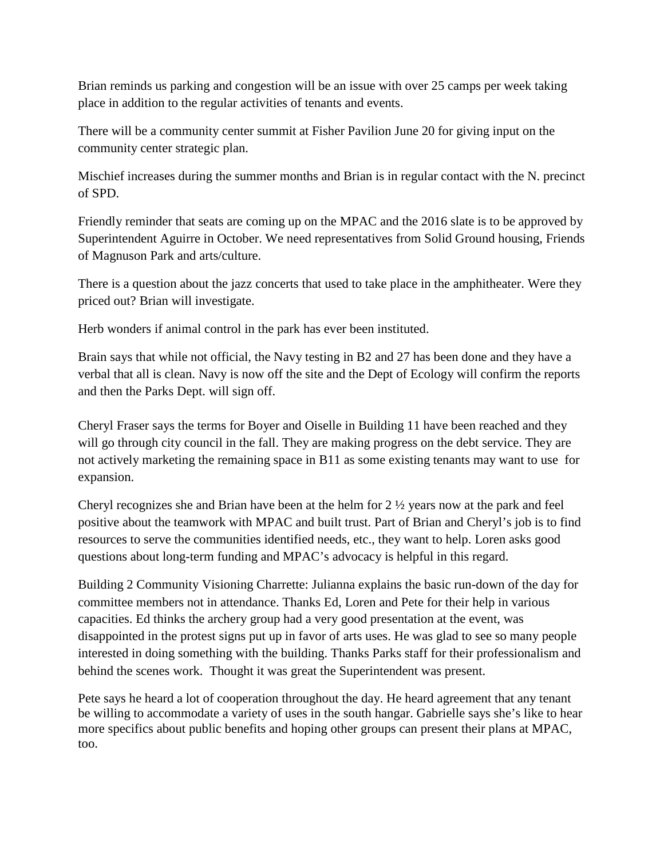Brian reminds us parking and congestion will be an issue with over 25 camps per week taking place in addition to the regular activities of tenants and events.

There will be a community center summit at Fisher Pavilion June 20 for giving input on the community center strategic plan.

Mischief increases during the summer months and Brian is in regular contact with the N. precinct of SPD.

Friendly reminder that seats are coming up on the MPAC and the 2016 slate is to be approved by Superintendent Aguirre in October. We need representatives from Solid Ground housing, Friends of Magnuson Park and arts/culture.

There is a question about the jazz concerts that used to take place in the amphitheater. Were they priced out? Brian will investigate.

Herb wonders if animal control in the park has ever been instituted.

Brain says that while not official, the Navy testing in B2 and 27 has been done and they have a verbal that all is clean. Navy is now off the site and the Dept of Ecology will confirm the reports and then the Parks Dept. will sign off.

Cheryl Fraser says the terms for Boyer and Oiselle in Building 11 have been reached and they will go through city council in the fall. They are making progress on the debt service. They are not actively marketing the remaining space in B11 as some existing tenants may want to use for expansion.

Cheryl recognizes she and Brian have been at the helm for 2 ½ years now at the park and feel positive about the teamwork with MPAC and built trust. Part of Brian and Cheryl's job is to find resources to serve the communities identified needs, etc., they want to help. Loren asks good questions about long-term funding and MPAC's advocacy is helpful in this regard.

Building 2 Community Visioning Charrette: Julianna explains the basic run-down of the day for committee members not in attendance. Thanks Ed, Loren and Pete for their help in various capacities. Ed thinks the archery group had a very good presentation at the event, was disappointed in the protest signs put up in favor of arts uses. He was glad to see so many people interested in doing something with the building. Thanks Parks staff for their professionalism and behind the scenes work. Thought it was great the Superintendent was present.

Pete says he heard a lot of cooperation throughout the day. He heard agreement that any tenant be willing to accommodate a variety of uses in the south hangar. Gabrielle says she's like to hear more specifics about public benefits and hoping other groups can present their plans at MPAC, too.